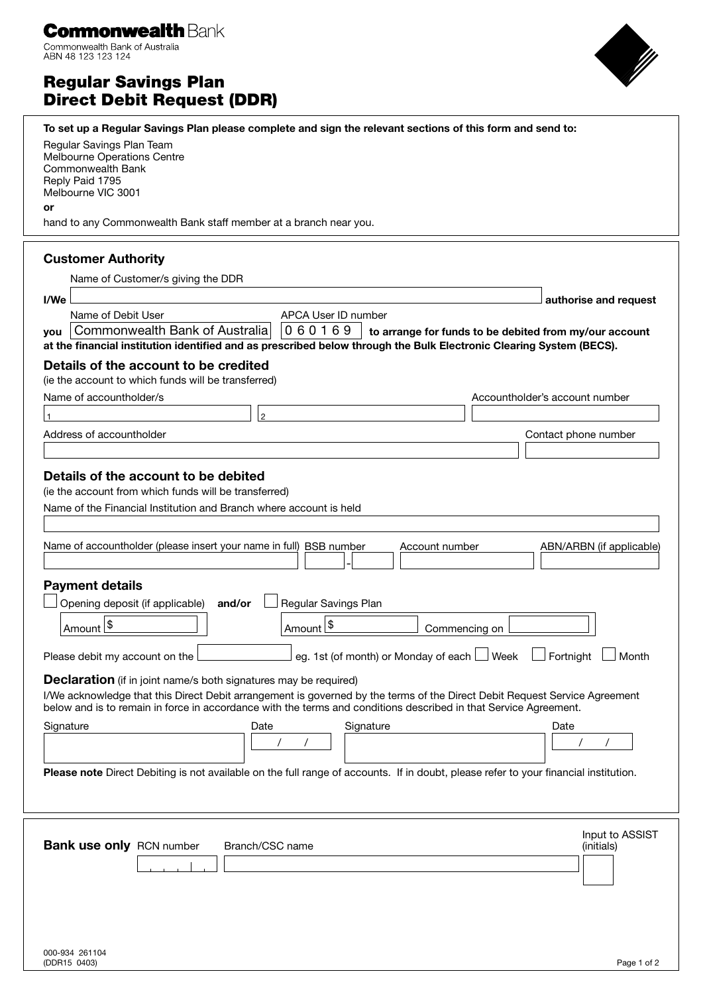| <b>Commonwealth Bank</b>       |
|--------------------------------|
| Commonwealth Bank of Australia |

**ABN 48 123 123 124** 

# Regular Savings Plan Direct Debit Request (DDR)



| To set up a Regular Savings Plan please complete and sign the relevant sections of this form and send to:                                                                                                                                      |                                                        |  |
|------------------------------------------------------------------------------------------------------------------------------------------------------------------------------------------------------------------------------------------------|--------------------------------------------------------|--|
| Regular Savings Plan Team                                                                                                                                                                                                                      |                                                        |  |
| Melbourne Operations Centre<br>Commonwealth Bank                                                                                                                                                                                               |                                                        |  |
| Reply Paid 1795                                                                                                                                                                                                                                |                                                        |  |
| Melbourne VIC 3001                                                                                                                                                                                                                             |                                                        |  |
| or<br>hand to any Commonwealth Bank staff member at a branch near you.                                                                                                                                                                         |                                                        |  |
|                                                                                                                                                                                                                                                |                                                        |  |
| <b>Customer Authority</b>                                                                                                                                                                                                                      |                                                        |  |
| Name of Customer/s giving the DDR                                                                                                                                                                                                              |                                                        |  |
| I/We                                                                                                                                                                                                                                           | authorise and request                                  |  |
| APCA User ID number<br>Name of Debit User                                                                                                                                                                                                      |                                                        |  |
| Commonwealth Bank of Australia<br>060169<br>vou                                                                                                                                                                                                | to arrange for funds to be debited from my/our account |  |
| at the financial institution identified and as prescribed below through the Bulk Electronic Clearing System (BECS).                                                                                                                            |                                                        |  |
| Details of the account to be credited                                                                                                                                                                                                          |                                                        |  |
| (ie the account to which funds will be transferred)                                                                                                                                                                                            |                                                        |  |
| Name of accountholder/s                                                                                                                                                                                                                        | Accountholder's account number                         |  |
| $\overline{2}$                                                                                                                                                                                                                                 |                                                        |  |
| Address of accountholder                                                                                                                                                                                                                       | Contact phone number                                   |  |
|                                                                                                                                                                                                                                                |                                                        |  |
| Details of the account to be debited                                                                                                                                                                                                           |                                                        |  |
| (ie the account from which funds will be transferred)                                                                                                                                                                                          |                                                        |  |
| Name of the Financial Institution and Branch where account is held                                                                                                                                                                             |                                                        |  |
|                                                                                                                                                                                                                                                |                                                        |  |
| Name of accountholder (please insert your name in full) BSB number<br>Account number                                                                                                                                                           | ABN/ARBN (if applicable)                               |  |
|                                                                                                                                                                                                                                                |                                                        |  |
| <b>Payment details</b>                                                                                                                                                                                                                         |                                                        |  |
| Opening deposit (if applicable)<br><b>Regular Savings Plan</b><br>and/or                                                                                                                                                                       |                                                        |  |
|                                                                                                                                                                                                                                                |                                                        |  |
| Amount <sup>1\$</sup><br>Amount <sup>1\$</sup><br>Commencing on                                                                                                                                                                                |                                                        |  |
| eg. 1st (of month) or Monday of each $\Box$ Week<br>Fortnight<br>Month<br>Please debit my account on the                                                                                                                                       |                                                        |  |
| <b>Declaration</b> (if in joint name/s both signatures may be required)                                                                                                                                                                        |                                                        |  |
| I/We acknowledge that this Direct Debit arrangement is governed by the terms of the Direct Debit Request Service Agreement<br>below and is to remain in force in accordance with the terms and conditions described in that Service Agreement. |                                                        |  |
| Signature<br>Date<br>Signature                                                                                                                                                                                                                 | Date                                                   |  |
|                                                                                                                                                                                                                                                |                                                        |  |
|                                                                                                                                                                                                                                                |                                                        |  |
| Please note Direct Debiting is not available on the full range of accounts. If in doubt, please refer to your financial institution.                                                                                                           |                                                        |  |
|                                                                                                                                                                                                                                                |                                                        |  |
|                                                                                                                                                                                                                                                |                                                        |  |
| <b>Bank use only RCN number</b><br>Branch/CSC name                                                                                                                                                                                             | Input to ASSIST<br>(initials)                          |  |
|                                                                                                                                                                                                                                                |                                                        |  |
|                                                                                                                                                                                                                                                |                                                        |  |
|                                                                                                                                                                                                                                                |                                                        |  |
|                                                                                                                                                                                                                                                |                                                        |  |
|                                                                                                                                                                                                                                                |                                                        |  |